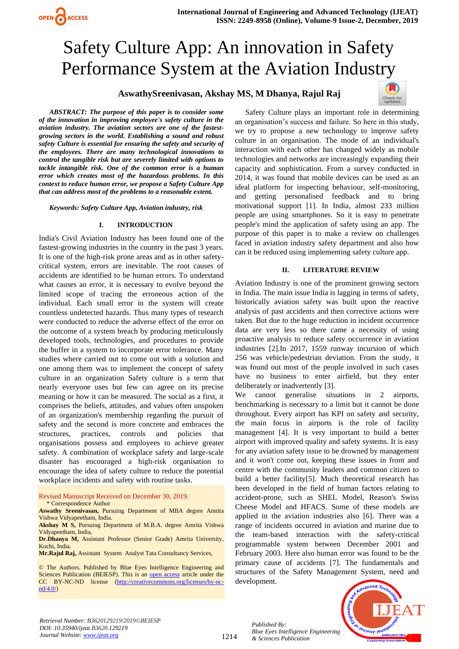# Safety Culture App: An innovation in Safety Performance System at the Aviation Industry

# **AswathySreenivasan, Akshay MS, M Dhanya, Rajul Raj**



*ABSTRACT: The purpose of this paper is to consider some of the innovation in improving employee's safety culture in the aviation industry. The aviation sectors are one of the fastestgrowing sectors in the world. Establishing a sound and robust safety Culture is essential for ensuring the safety and security of the employees. There are many technological innovations to control the tangible risk but are severely limited with options to tackle intangible risk. One of the common error is a human error which creates most of the hazardous problems. In this context to reduce human error, we propose a Safety Culture App that can address most of the problems to a reasonable extent.*

*Keywords: Safety Culture App, Aviation industry, risk*

#### **I. INTRODUCTION**

India's Civil Aviation Industry has been found one of the fastest-growing industries in the country in the past 3 years. It is one of the high-risk prone areas and as in other safetycritical system, errors are inevitable. The root causes of accidents are identified to be human errors. To understand what causes an error, it is necessary to evolve beyond the limited scope of tracing the erroneous action of the individual. Each small error in the system will create countless undetected hazards. Thus many types of research were conducted to reduce the adverse effect of the error on the outcome of a system breach by producing meticulously developed tools, technologies, and procedures to provide the buffer in a system to incorporate error tolerance. Many studies where carried out to come out with a solution and one among them was to implement the concept of safety culture in an organization Safety culture is a term that nearly everyone uses but few can agree on its precise meaning or how it can be measured. The social as a first, it comprises the beliefs, attitudes, and values often unspoken of an organization's membership regarding the pursuit of safety and the second is more concrete and embraces the structures, practices, controls and policies that organisations possess and employees to achieve greater safety. A combination of workplace safety and large-scale disaster has encouraged a high-risk organisation to encourage the idea of safety culture to reduce the potential workplace incidents and safety with routine tasks.

Revised Manuscript Received on December 30, 2019. \* Correspondence Author

**Aswathy Sreenivasan,** Pursuing Department of MBA degree Amrita Vishwa Vidyapeetham, India.

**Akshay M S,** Pursuing Department of M.B.A. degree Amrita Vishwa Vidyapeetham, India,

**Dr.Dhanya M,** Assistant Professor (Senior Grade) Amrita University, Kochi, India.

**Mr.Rajul Raj,** Assistant System Analyst Tata Consultancy Services,

© The Authors. Published by Blue Eyes Intelligence Engineering and Sciences Publication (BEIESP). This is an [open access](https://www.openaccess.nl/en/open-publications) article under the CC BY-NC-ND license [\(http://creativecommons.org/licenses/by-nc](http://creativecommons.org/licenses/by-nc-nd/4.0/) $nd/4.0/$ 

Safety Culture plays an important role in determining an organisation's success and failure. So here in this study, we try to propose a new technology to improve safety culture in an organisation. The mode of an individual's interaction with each other has changed widely as mobile technologies and networks are increasingly expanding their capacity and sophistication. From a survey conducted in 2014, it was found that mobile devices can be used as an ideal platform for inspecting behaviour, self-monitoring, and getting personalised feedback and to bring motivational support [1]. In India, almost 233 million people are using smartphones. So it is easy to penetrate people's mind the application of safety using an app. The purpose of this paper is to make a review on challenges faced in aviation industry safety department and also how can it be reduced using implementing safety culture app.

# **II. LITERATURE REVIEW**

Aviation Industry is one of the prominent growing sectors in India. The main issue India is lagging in terms of safety, historically aviation safety was built upon the reactive analysis of past accidents and then corrective actions were taken. But due to the huge reduction in incident occurrence data are very less so there came a necessity of using proactive analysis to reduce safety occurrence in aviation industries [2].In 2017, 1559 runway incursion of which 256 was vehicle/pedestrian deviation. From the study, it was found out most of the people involved in such cases have no business to enter airfield, but they enter deliberately or inadvertently [3].

We cannot generalise situations in 2 airports, benchmarking is necessary to a limit but it cannot be done throughout. Every airport has KPI on safety and security, the main focus in airports is the role of facility management [4]. It is very important to build a better airport with improved quality and safety systems. It is easy for any aviation safety issue to be drowned by management and it won't come out, keeping these issues in front and centre with the community leaders and common citizen to build a better facility[5]. Much theoretical research has been developed in the field of human factors relating to accident-prone, such as SHEL Model, Reason's Swiss Cheese Model and HFACS. Some of these models are applied in the aviation industries also [6]. There was a range of incidents occurred in aviation and marine due to the team-based interaction with the safety-critical programmable system between December 2001 and February 2003. Here also human error was found to be the primary cause of accidents [7]. The fundamentals and structures of the Safety Management System, need and development.



*Retrieval Number: B3620129219/2019©BEIESP DOI: 10.35940/ijeat.B3620.129219 Journal Website[: www.ijeat.org](http://www.ijeat.org/)*

1214

*Published By: Blue Eyes Intelligence Engineering & Sciences Publication*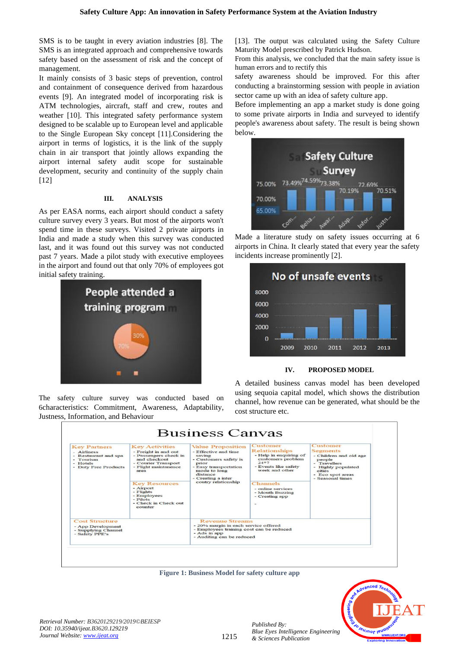SMS is to be taught in every aviation industries [8]. The SMS is an integrated approach and comprehensive towards safety based on the assessment of risk and the concept of management.

It mainly consists of 3 basic steps of prevention, control and containment of consequence derived from hazardous events [9]. An integrated model of incorporating risk is ATM technologies, aircraft, staff and crew, routes and weather [10]. This integrated safety performance system designed to be scalable up to European level and applicable to the Single European Sky concept [11].Considering the airport in terms of logistics, it is the link of the supply chain in air transport that jointly allows expanding the airport internal safety audit scope for sustainable development, security and continuity of the supply chain [12]

### **III. ANALYSIS**

As per EASA norms, each airport should conduct a safety culture survey every 3 years. But most of the airports won't spend time in these surveys. Visited 2 private airports in India and made a study when this survey was conducted last, and it was found out this survey was not conducted past 7 years. Made a pilot study with executive employees in the airport and found out that only 70% of employees got initial safety training.



The safety culture survey was conducted based on 6characteristics: Commitment, Awareness, Adaptability, Justness, Information, and Behaviour

[13]. The output was calculated using the Safety Culture Maturity Model prescribed by Patrick Hudson.

From this analysis, we concluded that the main safety issue is human errors and to rectify this

safety awareness should be improved. For this after conducting a brainstorming session with people in aviation sector came up with an idea of safety culture app.

Before implementing an app a market study is done going to some private airports in India and surveyed to identify people's awareness about safety. The result is being shown below.



Made a literature study on safety issues occurring at 6 airports in China. It clearly stated that every year the safety incidents increase prominently [2].



**IV. PROPOSED MODEL**

A detailed business canvas model has been developed using sequoia capital model, which shows the distribution channel, how revenue can be generated, what should be the cost structure etc.



**Figure 1: Business Model for safety culture app**



*Published By:*

*& Sciences Publication*